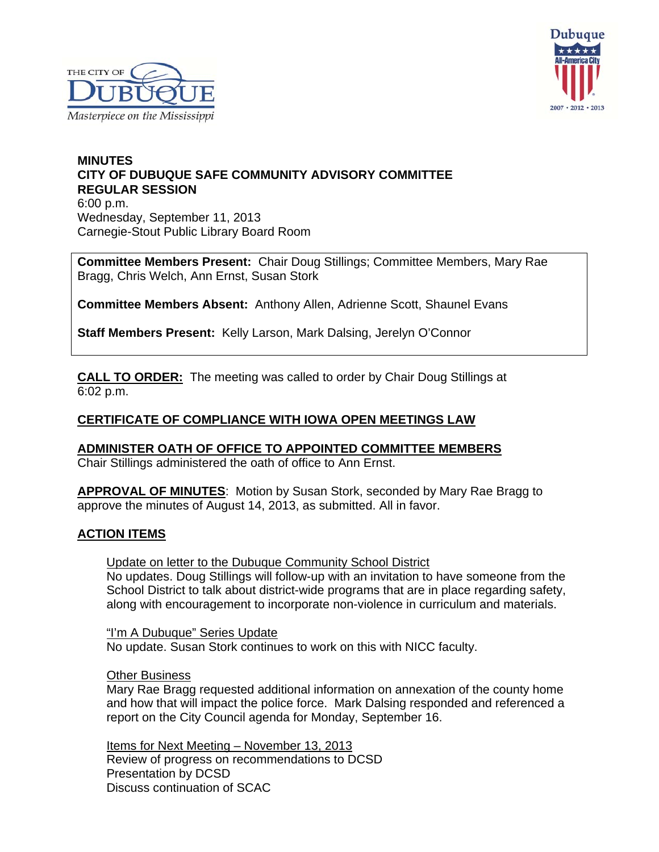



### **MINUTES CITY OF DUBUQUE SAFE COMMUNITY ADVISORY COMMITTEE REGULAR SESSION** 6:00 p.m. Wednesday, September 11, 2013 Carnegie-Stout Public Library Board Room

**Committee Members Present:** Chair Doug Stillings; Committee Members, Mary Rae Bragg, Chris Welch, Ann Ernst, Susan Stork

**Committee Members Absent:** Anthony Allen, Adrienne Scott, Shaunel Evans

**Staff Members Present:** Kelly Larson, Mark Dalsing, Jerelyn O'Connor

**CALL TO ORDER:** The meeting was called to order by Chair Doug Stillings at 6:02 p.m.

### **CERTIFICATE OF COMPLIANCE WITH IOWA OPEN MEETINGS LAW**

**ADMINISTER OATH OF OFFICE TO APPOINTED COMMITTEE MEMBERS** Chair Stillings administered the oath of office to Ann Ernst.

**APPROVAL OF MINUTES**: Motion by Susan Stork, seconded by Mary Rae Bragg to approve the minutes of August 14, 2013, as submitted. All in favor.

### **ACTION ITEMS**

Update on letter to the Dubuque Community School District No updates. Doug Stillings will follow-up with an invitation to have someone from the School District to talk about district-wide programs that are in place regarding safety, along with encouragement to incorporate non-violence in curriculum and materials.

"I'm A Dubuque" Series Update No update. Susan Stork continues to work on this with NICC faculty.

Other Business

Mary Rae Bragg requested additional information on annexation of the county home and how that will impact the police force. Mark Dalsing responded and referenced a report on the City Council agenda for Monday, September 16.

 Items for Next Meeting – November 13, 2013 Review of progress on recommendations to DCSD Presentation by DCSD Discuss continuation of SCAC